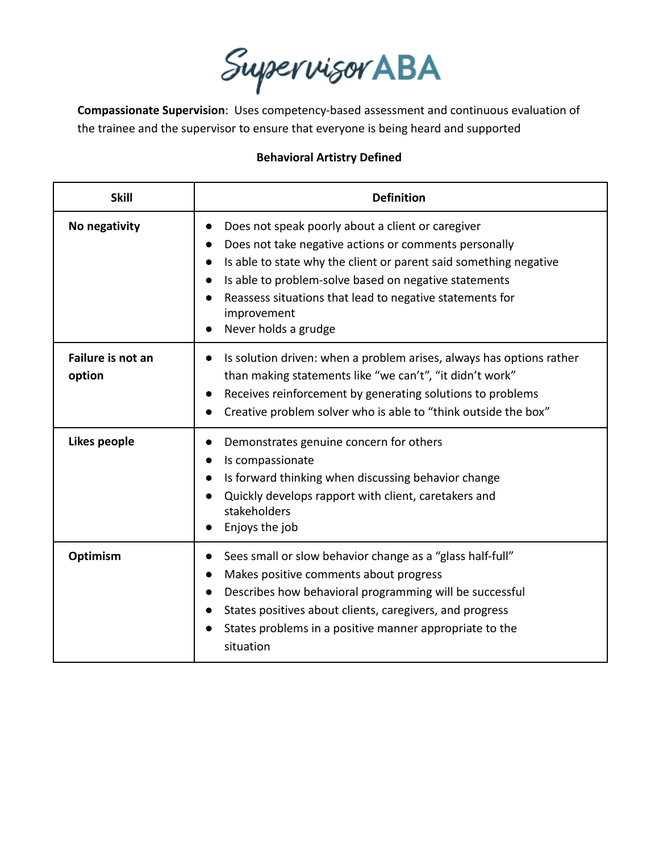Supervisor ABA

**Compassionate Supervision**: Uses competency-based assessment and continuous evaluation of the trainee and the supervisor to ensure that everyone is being heard and supported

## **Behavioral Artistry Defined**

| <b>Skill</b>                | <b>Definition</b>                                                                                                                                                                                                                                                                                                                                        |
|-----------------------------|----------------------------------------------------------------------------------------------------------------------------------------------------------------------------------------------------------------------------------------------------------------------------------------------------------------------------------------------------------|
| No negativity               | Does not speak poorly about a client or caregiver<br>$\bullet$<br>Does not take negative actions or comments personally<br>Is able to state why the client or parent said something negative<br>Is able to problem-solve based on negative statements<br>Reassess situations that lead to negative statements for<br>improvement<br>Never holds a grudge |
| Failure is not an<br>option | Is solution driven: when a problem arises, always has options rather<br>than making statements like "we can't", "it didn't work"<br>Receives reinforcement by generating solutions to problems<br>Creative problem solver who is able to "think outside the box"                                                                                         |
| Likes people                | Demonstrates genuine concern for others<br>Is compassionate<br>Is forward thinking when discussing behavior change<br>Quickly develops rapport with client, caretakers and<br>stakeholders<br>Enjoys the job                                                                                                                                             |
| Optimism                    | Sees small or slow behavior change as a "glass half-full"<br>Makes positive comments about progress<br>Describes how behavioral programming will be successful<br>States positives about clients, caregivers, and progress<br>States problems in a positive manner appropriate to the<br>situation                                                       |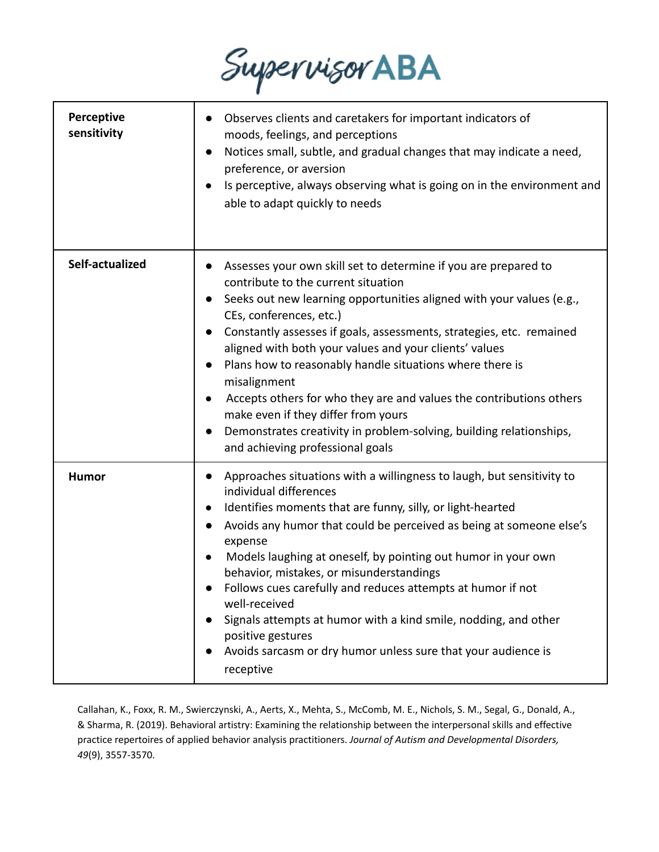

| Perceptive<br>sensitivity | Observes clients and caretakers for important indicators of<br>moods, feelings, and perceptions<br>Notices small, subtle, and gradual changes that may indicate a need,<br>$\bullet$<br>preference, or aversion<br>Is perceptive, always observing what is going on in the environment and<br>able to adapt quickly to needs                                                                                                                                                                                                                                                                                                                                               |
|---------------------------|----------------------------------------------------------------------------------------------------------------------------------------------------------------------------------------------------------------------------------------------------------------------------------------------------------------------------------------------------------------------------------------------------------------------------------------------------------------------------------------------------------------------------------------------------------------------------------------------------------------------------------------------------------------------------|
| Self-actualized           | Assesses your own skill set to determine if you are prepared to<br>contribute to the current situation<br>Seeks out new learning opportunities aligned with your values (e.g.,<br>CEs, conferences, etc.)<br>Constantly assesses if goals, assessments, strategies, etc. remained<br>aligned with both your values and your clients' values<br>Plans how to reasonably handle situations where there is<br>$\bullet$<br>misalignment<br>Accepts others for who they are and values the contributions others<br>$\bullet$<br>make even if they differ from yours<br>Demonstrates creativity in problem-solving, building relationships,<br>and achieving professional goals |
| Humor                     | Approaches situations with a willingness to laugh, but sensitivity to<br>individual differences<br>Identifies moments that are funny, silly, or light-hearted<br>$\bullet$<br>Avoids any humor that could be perceived as being at someone else's<br>expense<br>Models laughing at oneself, by pointing out humor in your own<br>behavior, mistakes, or misunderstandings<br>Follows cues carefully and reduces attempts at humor if not<br>well-received<br>Signals attempts at humor with a kind smile, nodding, and other<br>positive gestures<br>Avoids sarcasm or dry humor unless sure that your audience is<br>$\bullet$<br>receptive                               |

Callahan, K., Foxx, R. M., Swierczynski, A., Aerts, X., Mehta, S., McComb, M. E., Nichols, S. M., Segal, G., Donald, A., & Sharma, R. (2019). Behavioral artistry: Examining the relationship between the interpersonal skills and effective practice repertoires of applied behavior analysis practitioners. *Journal of Autism and Developmental Disorders, 49*(9), 3557-3570.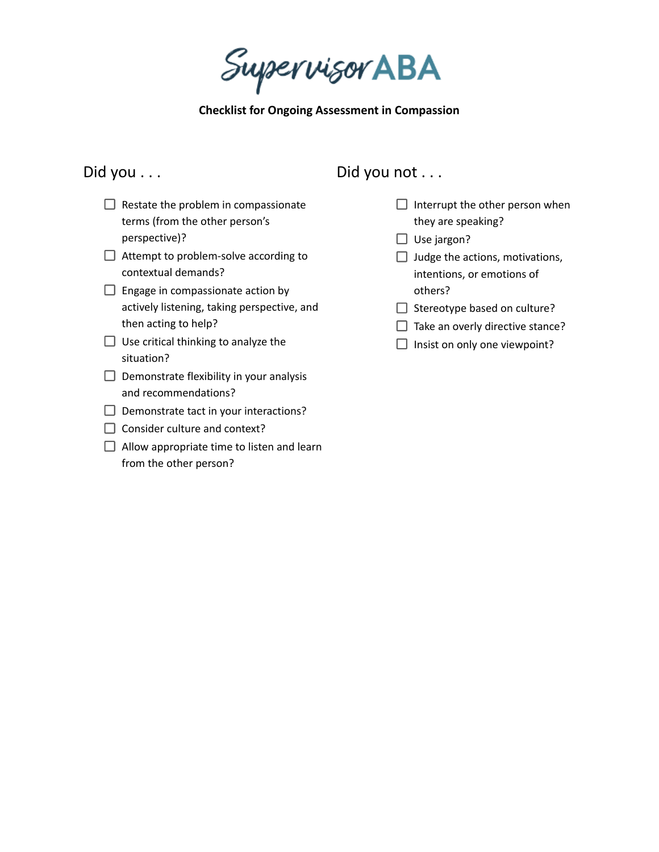Supervisor ABA

**Checklist for Ongoing Assessment in Compassion**

## Did you . . .

- $\Box$  Restate the problem in compassionate terms (from the other person's perspective)?
- $\Box$  Attempt to problem-solve according to contextual demands?
- $\Box$  Engage in compassionate action by actively listening, taking perspective, and then acting to help?
- $\Box$  Use critical thinking to analyze the situation?
- $\Box$  Demonstrate flexibility in your analysis and recommendations?
- $\Box$  Demonstrate tact in your interactions?
- $\Box$  Consider culture and context?
- $\Box$  Allow appropriate time to listen and learn from the other person?

## Did you not . . .

- $\Box$  Interrupt the other person when they are speaking?
- $\Box$  Use jargon?
- $\Box$  Judge the actions, motivations, intentions, or emotions of others?
- $\Box$  Stereotype based on culture?
- $\Box$  Take an overly directive stance?
- $\Box$  Insist on only one viewpoint?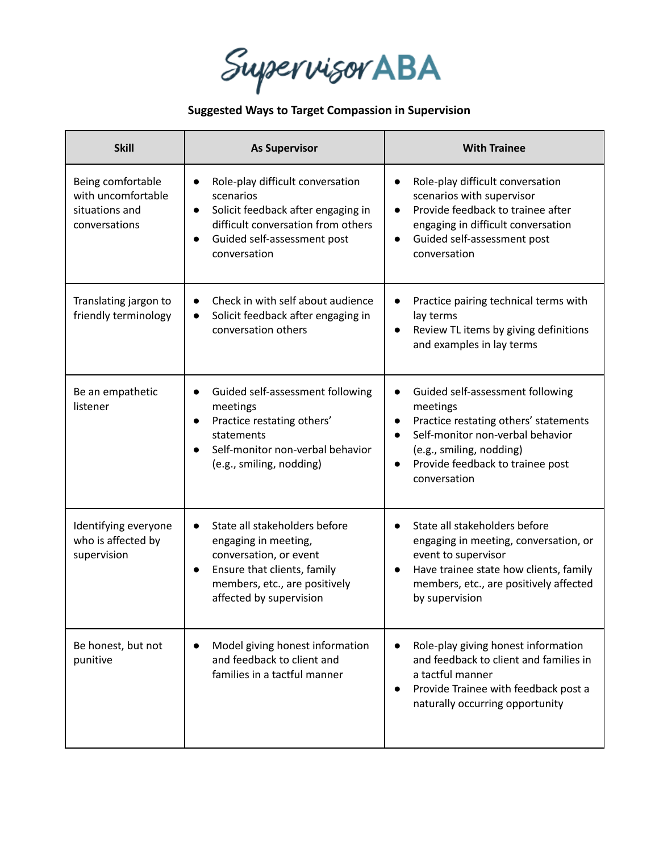Supervisor ABA

## **Suggested Ways to Target Compassion in Supervision**

| <b>Skill</b>                                                               | <b>As Supervisor</b>                                                                                                                                                                                            | <b>With Trainee</b>                                                                                                                                                                                                                 |
|----------------------------------------------------------------------------|-----------------------------------------------------------------------------------------------------------------------------------------------------------------------------------------------------------------|-------------------------------------------------------------------------------------------------------------------------------------------------------------------------------------------------------------------------------------|
| Being comfortable<br>with uncomfortable<br>situations and<br>conversations | Role-play difficult conversation<br>$\bullet$<br>scenarios<br>Solicit feedback after engaging in<br>$\bullet$<br>difficult conversation from others<br>Guided self-assessment post<br>$\bullet$<br>conversation | Role-play difficult conversation<br>$\bullet$<br>scenarios with supervisor<br>Provide feedback to trainee after<br>engaging in difficult conversation<br>Guided self-assessment post<br>$\bullet$<br>conversation                   |
| Translating jargon to<br>friendly terminology                              | Check in with self about audience<br>$\bullet$<br>Solicit feedback after engaging in<br>$\bullet$<br>conversation others                                                                                        | Practice pairing technical terms with<br>lay terms<br>Review TL items by giving definitions<br>$\bullet$<br>and examples in lay terms                                                                                               |
| Be an empathetic<br>listener                                               | Guided self-assessment following<br>$\bullet$<br>meetings<br>Practice restating others'<br>statements<br>Self-monitor non-verbal behavior<br>(e.g., smiling, nodding)                                           | Guided self-assessment following<br>$\bullet$<br>meetings<br>Practice restating others' statements<br>Self-monitor non-verbal behavior<br>(e.g., smiling, nodding)<br>Provide feedback to trainee post<br>$\bullet$<br>conversation |
| Identifying everyone<br>who is affected by<br>supervision                  | State all stakeholders before<br>engaging in meeting,<br>conversation, or event<br>Ensure that clients, family<br>$\bullet$<br>members, etc., are positively<br>affected by supervision                         | State all stakeholders before<br>engaging in meeting, conversation, or<br>event to supervisor<br>Have trainee state how clients, family<br>members, etc., are positively affected<br>by supervision                                 |
| Be honest, but not<br>punitive                                             | Model giving honest information<br>$\bullet$<br>and feedback to client and<br>families in a tactful manner                                                                                                      | Role-play giving honest information<br>and feedback to client and families in<br>a tactful manner<br>Provide Trainee with feedback post a<br>naturally occurring opportunity                                                        |